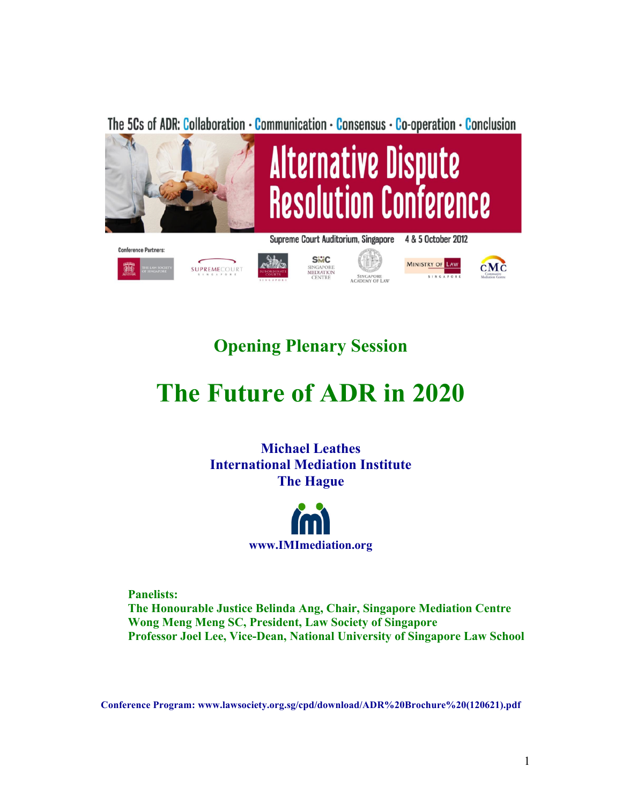The 5Cs of ADR: Collaboration - Communication - Consensus - Co-operation - Conclusion



**SiviC** 

SINGAPORE<br>MEDIATION

靍

SUPREMECOURT

**MINISTRY OF LAW** 

 $c$ M $\dot c$ 



# **The Future of ADR in 2020**

**Michael Leathes International Mediation Institute The Hague**



**Panelists: The Honourable Justice Belinda Ang, Chair, Singapore Mediation Centre Wong Meng Meng SC, President, Law Society of Singapore Professor Joel Lee, Vice-Dean, National University of Singapore Law School**

**Conference Program: www.lawsociety.org.sg/cpd/download/ADR%20Brochure%20(120621).pdf**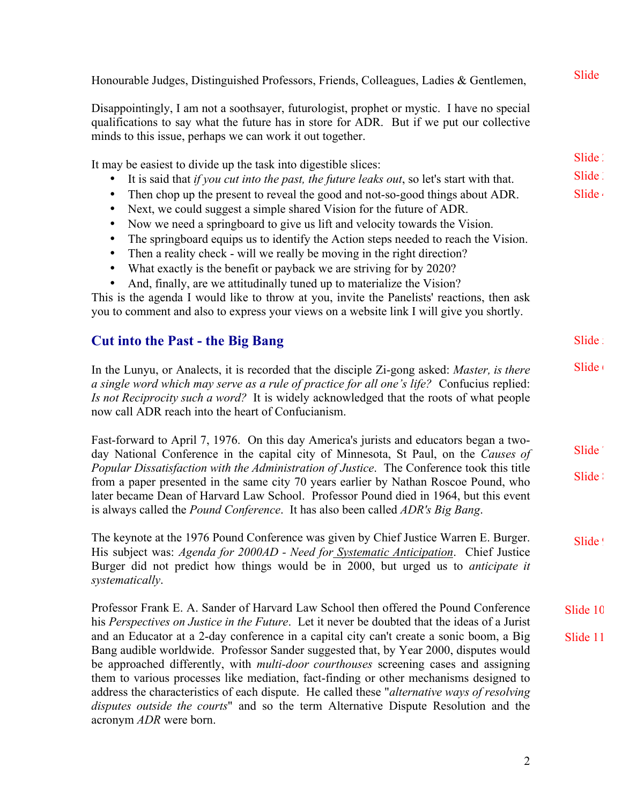Honourable Judges, Distinguished Professors, Friends, Colleagues, Ladies & Gentlemen,

Disappointingly, I am not a soothsayer, futurologist, prophet or mystic. I have no special qualifications to say what the future has in store for ADR. But if we put our collective minds to this issue, perhaps we can work it out together.

It may be easiest to divide up the task into digestible slices: • It is said that *if you cut into the past, the future leaks out*, so let's start with that. • Then chop up the present to reveal the good and not-so-good things about ADR. Slide 2 Slide 3 Slide 4

- Next, we could suggest a simple shared Vision for the future of ADR.
- Now we need a springboard to give us lift and velocity towards the Vision.
- The springboard equips us to identify the Action steps needed to reach the Vision.
- Then a reality check will we really be moving in the right direction?
- What exactly is the benefit or payback we are striving for by 2020?
- And, finally, are we attitudinally tuned up to materialize the Vision?

This is the agenda I would like to throw at you, invite the Panelists' reactions, then ask you to comment and also to express your views on a website link I will give you shortly.

# **Cut into the Past - the Big Bang**

In the Lunyu, or Analects, it is recorded that the disciple Zi-gong asked: *Master, is there a single word which may serve as a rule of practice for all one's life?* Confucius replied: *Is not Reciprocity such a word?* It is widely acknowledged that the roots of what people now call ADR reach into the heart of Confucianism.  $S$ lide  $($ 

Fast-forward to April 7, 1976. On this day America's jurists and educators began a twoday National Conference in the capital city of Minnesota, St Paul, on the *Causes of Popular Dissatisfaction with the Administration of Justice*. The Conference took this title from a paper presented in the same city 70 years earlier by Nathan Roscoe Pound, who later became Dean of Harvard Law School. Professor Pound died in 1964, but this event is always called the *Pound Conference*. It has also been called *ADR's Big Bang*. Slide<sup>'</sup> Slide :

The keynote at the 1976 Pound Conference was given by Chief Justice Warren E. Burger. His subject was: *Agenda for 2000AD - Need for Systematic Anticipation*. Chief Justice Burger did not predict how things would be in 2000, but urged us to *anticipate it systematically*. Slide !

Professor Frank E. A. Sander of Harvard Law School then offered the Pound Conference his *Perspectives on Justice in the Future*. Let it never be doubted that the ideas of a Jurist and an Educator at a 2-day conference in a capital city can't create a sonic boom, a Big Bang audible worldwide. Professor Sander suggested that, by Year 2000, disputes would be approached differently, with *multi-door courthouses* screening cases and assigning them to various processes like mediation, fact-finding or other mechanisms designed to address the characteristics of each dispute. He called these "*alternative ways of resolving disputes outside the courts*" and so the term Alternative Dispute Resolution and the acronym *ADR* were born. Slide 10 Slide 11

**Slide** 

Slide :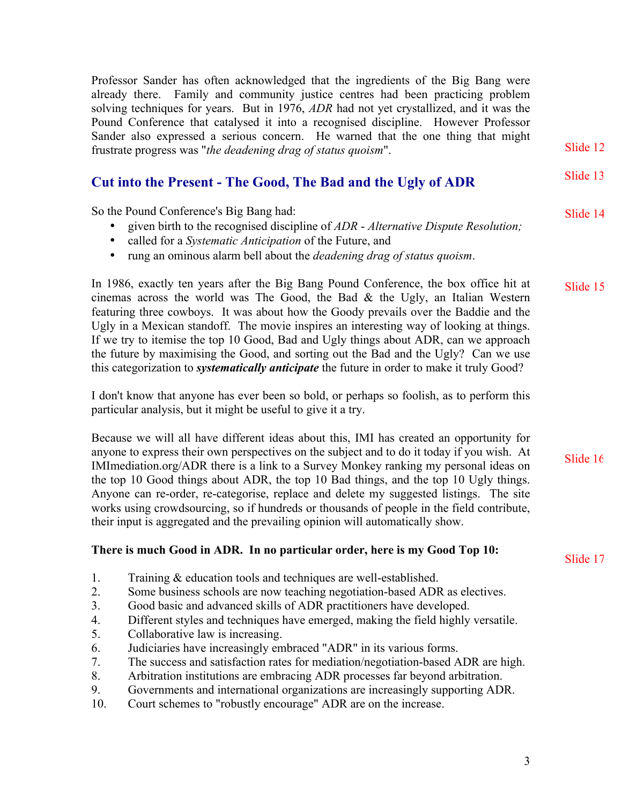Professor Sander has often acknowledged that the ingredients of the Big Bang were already there. Family and community justice centres had been practicing problem solving techniques for years. But in 1976, *ADR* had not yet crystallized, and it was the Pound Conference that catalysed it into a recognised discipline. However Professor Sander also expressed a serious concern. He warned that the one thing that might frustrate progress was "*the deadening drag of status quoism*".

# **Cut into the Present - The Good, The Bad and the Ugly of ADR**

So the Pound Conference's Big Bang had:

- given birth to the recognised discipline of *ADR Alternative Dispute Resolution;*
- called for a *Systematic Anticipation* of the Future, and
- rung an ominous alarm bell about the *deadening drag of status quoism*.

In 1986, exactly ten years after the Big Bang Pound Conference, the box office hit at cinemas across the world was The Good, the Bad  $\&$  the Ugly, an Italian Western featuring three cowboys. It was about how the Goody prevails over the Baddie and the Ugly in a Mexican standoff. The movie inspires an interesting way of looking at things. If we try to itemise the top 10 Good, Bad and Ugly things about ADR, can we approach the future by maximising the Good, and sorting out the Bad and the Ugly? Can we use this categorization to *systematically anticipate* the future in order to make it truly Good? Slide 15

I don't know that anyone has ever been so bold, or perhaps so foolish, as to perform this particular analysis, but it might be useful to give it a try.

Because we will all have different ideas about this, IMI has created an opportunity for anyone to express their own perspectives on the subject and to do it today if you wish. At IMImediation.org/ADR there is a link to a Survey Monkey ranking my personal ideas on the top 10 Good things about ADR, the top 10 Bad things, and the top 10 Ugly things. Anyone can re-order, re-categorise, replace and delete my suggested listings. The site works using crowdsourcing, so if hundreds or thousands of people in the field contribute, their input is aggregated and the prevailing opinion will automatically show.

### **There is much Good in ADR. In no particular order, here is my Good Top 10:**

- 1. Training & education tools and techniques are well-established.
- 2. Some business schools are now teaching negotiation-based ADR as electives.
- 3. Good basic and advanced skills of ADR practitioners have developed.
- 4. Different styles and techniques have emerged, making the field highly versatile.
- 5. Collaborative law is increasing.
- 6. Judiciaries have increasingly embraced "ADR" in its various forms.
- 7. The success and satisfaction rates for mediation/negotiation-based ADR are high.
- 8. Arbitration institutions are embracing ADR processes far beyond arbitration.
- 9. Governments and international organizations are increasingly supporting ADR.
- 10. Court schemes to "robustly encourage" ADR are on the increase.

Slide 12

Slide 13

Slide 14

Slide 16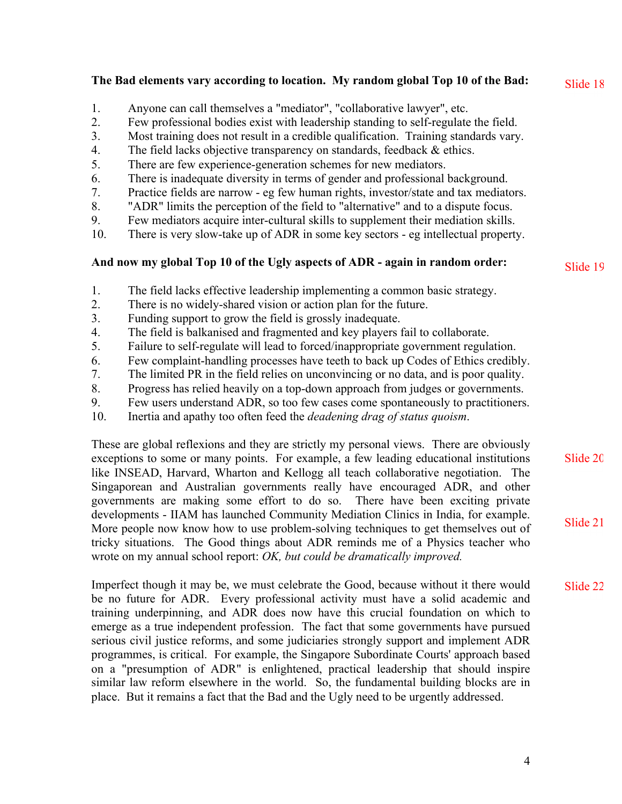# **The Bad elements vary according to location. My random global Top 10 of the Bad:**

- 1. Anyone can call themselves a "mediator", "collaborative lawyer", etc.
- 2. Few professional bodies exist with leadership standing to self-regulate the field.
- 3. Most training does not result in a credible qualification. Training standards vary.
- 4. The field lacks objective transparency on standards, feedback & ethics.
- 5. There are few experience-generation schemes for new mediators.
- 6. There is inadequate diversity in terms of gender and professional background.
- 7. Practice fields are narrow eg few human rights, investor/state and tax mediators.
- 8. "ADR" limits the perception of the field to "alternative" and to a dispute focus.
- 9. Few mediators acquire inter-cultural skills to supplement their mediation skills.
- 10. There is very slow-take up of ADR in some key sectors eg intellectual property.

# **And now my global Top 10 of the Ugly aspects of ADR - again in random order:**

- 1. The field lacks effective leadership implementing a common basic strategy.
- 2. There is no widely-shared vision or action plan for the future.
- 3. Funding support to grow the field is grossly inadequate.
- 4. The field is balkanised and fragmented and key players fail to collaborate.
- 5. Failure to self-regulate will lead to forced/inappropriate government regulation.
- 6. Few complaint-handling processes have teeth to back up Codes of Ethics credibly.
- 7. The limited PR in the field relies on unconvincing or no data, and is poor quality.
- 8. Progress has relied heavily on a top-down approach from judges or governments.
- 9. Few users understand ADR, so too few cases come spontaneously to practitioners.
- 10. Inertia and apathy too often feed the *deadening drag of status quoism*.

These are global reflexions and they are strictly my personal views. There are obviously exceptions to some or many points. For example, a few leading educational institutions like INSEAD, Harvard, Wharton and Kellogg all teach collaborative negotiation. The Singaporean and Australian governments really have encouraged ADR, and other governments are making some effort to do so. There have been exciting private developments - IIAM has launched Community Mediation Clinics in India, for example. More people now know how to use problem-solving techniques to get themselves out of tricky situations. The Good things about ADR reminds me of a Physics teacher who wrote on my annual school report: *OK, but could be dramatically improved.*

Imperfect though it may be, we must celebrate the Good, because without it there would be no future for ADR. Every professional activity must have a solid academic and training underpinning, and ADR does now have this crucial foundation on which to emerge as a true independent profession. The fact that some governments have pursued serious civil justice reforms, and some judiciaries strongly support and implement ADR programmes, is critical. For example, the Singapore Subordinate Courts' approach based on a "presumption of ADR" is enlightened, practical leadership that should inspire similar law reform elsewhere in the world. So, the fundamental building blocks are in place. But it remains a fact that the Bad and the Ugly need to be urgently addressed.

Slide 19

Slide 18

Slide 20

Slide 21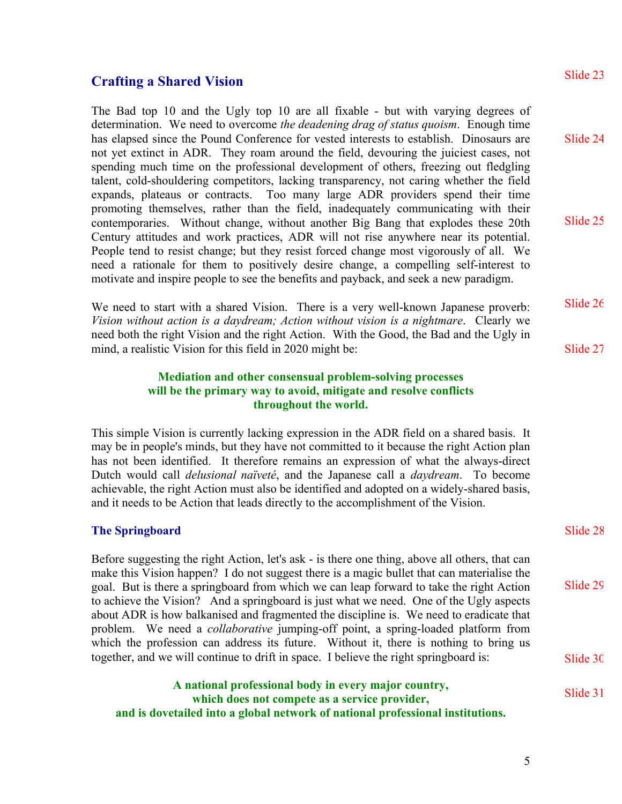# **Crafting a Shared Vision**

The Bad top 10 and the Ugly top 10 are all fixable - but with varying degrees of determination. We need to overcome *the deadening drag of status quoism*. Enough time has elapsed since the Pound Conference for vested interests to establish. Dinosaurs are not yet extinct in ADR. They roam around the field, devouring the juiciest cases, not spending much time on the professional development of others, freezing out fledgling talent, cold-shouldering competitors, lacking transparency, not caring whether the field expands, plateaus or contracts. Too many large ADR providers spend their time promoting themselves, rather than the field, inadequately communicating with their contemporaries. Without change, without another Big Bang that explodes these 20th Century attitudes and work practices, ADR will not rise anywhere near its potential. People tend to resist change; but they resist forced change most vigorously of all. We need a rationale for them to positively desire change, a compelling self-interest to motivate and inspire people to see the benefits and payback, and seek a new paradigm.

We need to start with a shared Vision. There is a very well-known Japanese proverb: *Vision without action is a daydream; Action without vision is a nightmare*. Clearly we need both the right Vision and the right Action. With the Good, the Bad and the Ugly in mind, a realistic Vision for this field in 2020 might be: Slide 26 Slide 27

#### **Mediation and other consensual problem-solving processes will be the primary way to avoid, mitigate and resolve conflicts throughout the world.**

This simple Vision is currently lacking expression in the ADR field on a shared basis. It may be in people's minds, but they have not committed to it because the right Action plan has not been identified. It therefore remains an expression of what the always-direct Dutch would call *delusional naïveté*, and the Japanese call a *daydream*. To become achievable, the right Action must also be identified and adopted on a widely-shared basis, and it needs to be Action that leads directly to the accomplishment of the Vision.

#### **The Springboard**

Before suggesting the right Action, let's ask - is there one thing, above all others, that can make this Vision happen? I do not suggest there is a magic bullet that can materialise the goal. But is there a springboard from which we can leap forward to take the right Action to achieve the Vision? And a springboard is just what we need. One of the Ugly aspects about ADR is how balkanised and fragmented the discipline is. We need to eradicate that problem. We need a *collaborative* jumping-off point, a spring-loaded platform from which the profession can address its future. Without it, there is nothing to bring us together, and we will continue to drift in space. I believe the right springboard is:

**A national professional body in every major country, which does not compete as a service provider, and is dovetailed into a global network of national professional institutions.**

# 5

Slide 23

Slide 24

Slide 25

Slide 28

Slide 29

Slide 30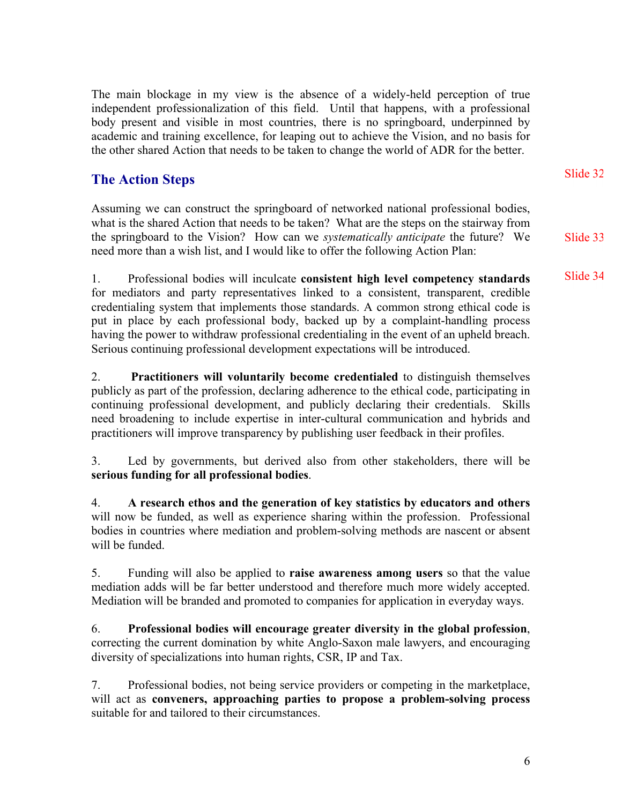The main blockage in my view is the absence of a widely-held perception of true independent professionalization of this field. Until that happens, with a professional body present and visible in most countries, there is no springboard, underpinned by academic and training excellence, for leaping out to achieve the Vision, and no basis for the other shared Action that needs to be taken to change the world of ADR for the better.

# **The Action Steps**

Assuming we can construct the springboard of networked national professional bodies, what is the shared Action that needs to be taken? What are the steps on the stairway from the springboard to the Vision? How can we *systematically anticipate* the future? We need more than a wish list, and I would like to offer the following Action Plan:

1. Professional bodies will inculcate **consistent high level competency standards** for mediators and party representatives linked to a consistent, transparent, credible credentialing system that implements those standards. A common strong ethical code is put in place by each professional body, backed up by a complaint-handling process having the power to withdraw professional credentialing in the event of an upheld breach. Serious continuing professional development expectations will be introduced.

2. **Practitioners will voluntarily become credentialed** to distinguish themselves publicly as part of the profession, declaring adherence to the ethical code, participating in continuing professional development, and publicly declaring their credentials. Skills need broadening to include expertise in inter-cultural communication and hybrids and practitioners will improve transparency by publishing user feedback in their profiles.

3. Led by governments, but derived also from other stakeholders, there will be **serious funding for all professional bodies**.

4. **A research ethos and the generation of key statistics by educators and others** will now be funded, as well as experience sharing within the profession. Professional bodies in countries where mediation and problem-solving methods are nascent or absent will be funded.

5. Funding will also be applied to **raise awareness among users** so that the value mediation adds will be far better understood and therefore much more widely accepted. Mediation will be branded and promoted to companies for application in everyday ways.

6. **Professional bodies will encourage greater diversity in the global profession**, correcting the current domination by white Anglo-Saxon male lawyers, and encouraging diversity of specializations into human rights, CSR, IP and Tax.

7. Professional bodies, not being service providers or competing in the marketplace, will act as **conveners, approaching parties to propose a problem-solving process** suitable for and tailored to their circumstances.

Slide 32

Slide 33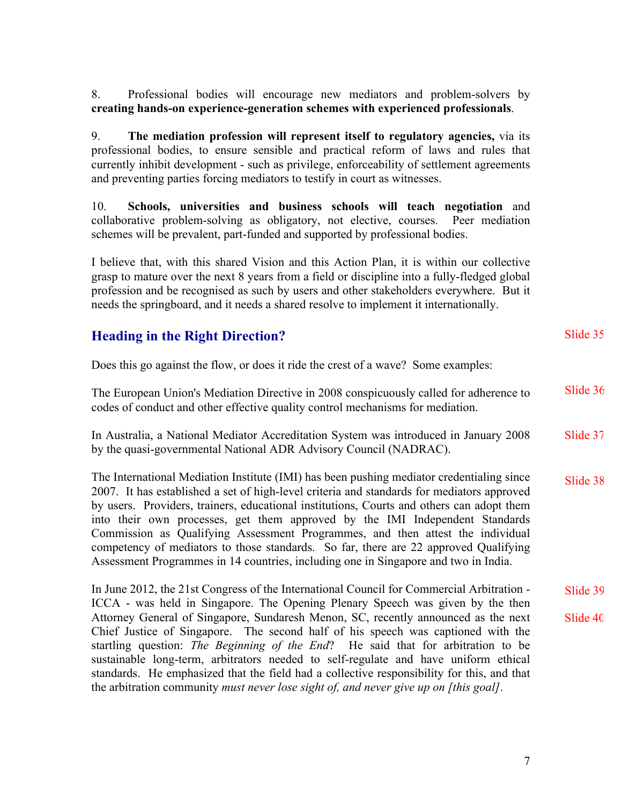8. Professional bodies will encourage new mediators and problem-solvers by **creating hands-on experience-generation schemes with experienced professionals**.

9. **The mediation profession will represent itself to regulatory agencies,** via its professional bodies, to ensure sensible and practical reform of laws and rules that currently inhibit development - such as privilege, enforceability of settlement agreements and preventing parties forcing mediators to testify in court as witnesses.

10. **Schools, universities and business schools will teach negotiation** and collaborative problem-solving as obligatory, not elective, courses. Peer mediation schemes will be prevalent, part-funded and supported by professional bodies.

I believe that, with this shared Vision and this Action Plan, it is within our collective grasp to mature over the next 8 years from a field or discipline into a fully-fledged global profession and be recognised as such by users and other stakeholders everywhere. But it needs the springboard, and it needs a shared resolve to implement it internationally.

# **Heading in the Right Direction?**

Does this go against the flow, or does it ride the crest of a wave? Some examples:

The European Union's Mediation Directive in 2008 conspicuously called for adherence to codes of conduct and other effective quality control mechanisms for mediation. Slide 36

In Australia, a National Mediator Accreditation System was introduced in January 2008 by the quasi-governmental National ADR Advisory Council (NADRAC). Slide 37

The International Mediation Institute (IMI) has been pushing mediator credentialing since 2007. It has established a set of high-level criteria and standards for mediators approved by users. Providers, trainers, educational institutions, Courts and others can adopt them into their own processes, get them approved by the IMI Independent Standards Commission as Qualifying Assessment Programmes, and then attest the individual competency of mediators to those standards. So far, there are 22 approved Qualifying Assessment Programmes in 14 countries, including one in Singapore and two in India. Slide 38

In June 2012, the 21st Congress of the International Council for Commercial Arbitration - ICCA - was held in Singapore. The Opening Plenary Speech was given by the then Attorney General of Singapore, Sundaresh Menon, SC, recently announced as the next Chief Justice of Singapore. The second half of his speech was captioned with the startling question: *The Beginning of the End*? He said that for arbitration to be sustainable long-term, arbitrators needed to self-regulate and have uniform ethical standards. He emphasized that the field had a collective responsibility for this, and that the arbitration community *must never lose sight of, and never give up on [this goal]*. Slide 39 Slide 40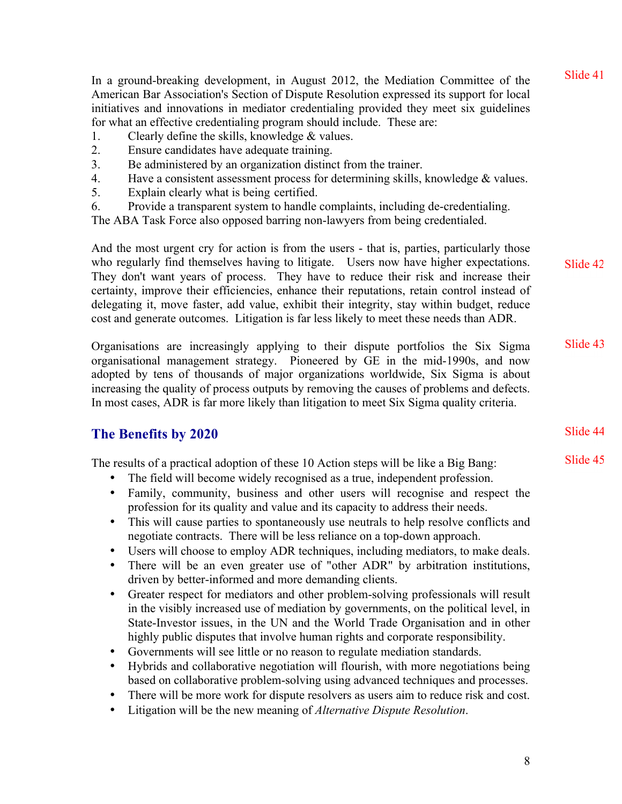In a ground-breaking development, in August 2012, the Mediation Committee of the American Bar Association's Section of Dispute Resolution expressed its support for local initiatives and innovations in mediator credentialing provided they meet six guidelines for what an effective credentialing program should include. These are:

- 1. Clearly define the skills, knowledge & values.
- 2. Ensure candidates have adequate training.
- 3. Be administered by an organization distinct from the trainer.
- 4. Have a consistent assessment process for determining skills, knowledge & values.
- 5. Explain clearly what is being certified.
- 6. Provide a transparent system to handle complaints, including de-credentialing.

The ABA Task Force also opposed barring non-lawyers from being credentialed.

And the most urgent cry for action is from the users - that is, parties, particularly those who regularly find themselves having to litigate. Users now have higher expectations. They don't want years of process. They have to reduce their risk and increase their certainty, improve their efficiencies, enhance their reputations, retain control instead of delegating it, move faster, add value, exhibit their integrity, stay within budget, reduce cost and generate outcomes. Litigation is far less likely to meet these needs than ADR. Slide 42

Organisations are increasingly applying to their dispute portfolios the Six Sigma organisational management strategy. Pioneered by GE in the mid-1990s, and now adopted by tens of thousands of major organizations worldwide, Six Sigma is about increasing the quality of process outputs by removing the causes of problems and defects. In most cases, ADR is far more likely than litigation to meet Six Sigma quality criteria. Slide 43

# **The Benefits by 2020**

The results of a practical adoption of these 10 Action steps will be like a Big Bang:

- The field will become widely recognised as a true, independent profession.
- Family, community, business and other users will recognise and respect the profession for its quality and value and its capacity to address their needs.
- This will cause parties to spontaneously use neutrals to help resolve conflicts and negotiate contracts. There will be less reliance on a top-down approach.
- Users will choose to employ ADR techniques, including mediators, to make deals.
- There will be an even greater use of "other ADR" by arbitration institutions, driven by better-informed and more demanding clients.
- Greater respect for mediators and other problem-solving professionals will result in the visibly increased use of mediation by governments, on the political level, in State-Investor issues, in the UN and the World Trade Organisation and in other highly public disputes that involve human rights and corporate responsibility.
- Governments will see little or no reason to regulate mediation standards.
- Hybrids and collaborative negotiation will flourish, with more negotiations being based on collaborative problem-solving using advanced techniques and processes.
- There will be more work for dispute resolvers as users aim to reduce risk and cost.
- Litigation will be the new meaning of *Alternative Dispute Resolution*.

8

Slide 44

Slide 41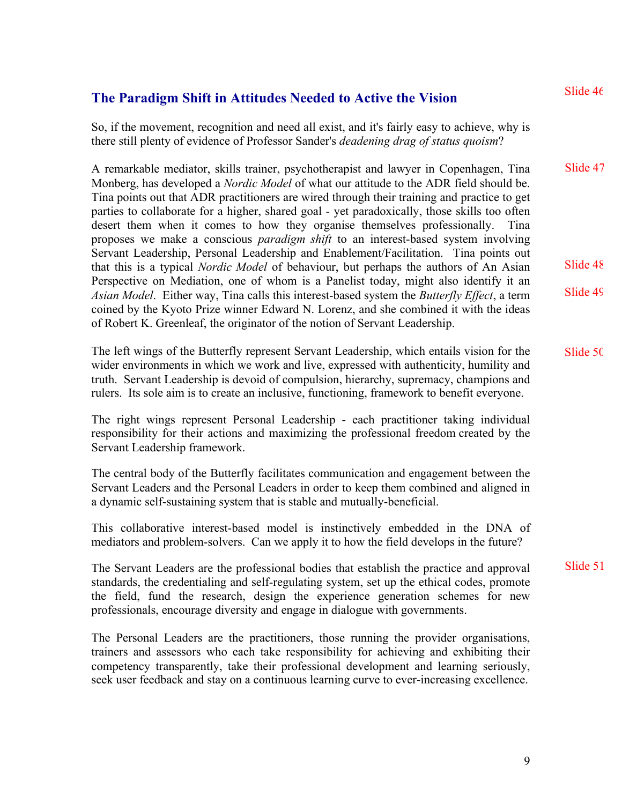# **The Paradigm Shift in Attitudes Needed to Active the Vision**

So, if the movement, recognition and need all exist, and it's fairly easy to achieve, why is there still plenty of evidence of Professor Sander's *deadening drag of status quoism*?

A remarkable mediator, skills trainer, psychotherapist and lawyer in Copenhagen, Tina Monberg, has developed a *Nordic Model* of what our attitude to the ADR field should be. Tina points out that ADR practitioners are wired through their training and practice to get parties to collaborate for a higher, shared goal - yet paradoxically, those skills too often desert them when it comes to how they organise themselves professionally. Tina proposes we make a conscious *paradigm shift* to an interest-based system involving Servant Leadership, Personal Leadership and Enablement/Facilitation. Tina points out that this is a typical *Nordic Model* of behaviour, but perhaps the authors of An Asian Perspective on Mediation, one of whom is a Panelist today, might also identify it an *Asian Model*. Either way, Tina calls this interest-based system the *Butterfly Effect*, a term coined by the Kyoto Prize winner Edward N. Lorenz, and she combined it with the ideas of Robert K. Greenleaf, the originator of the notion of Servant Leadership. Slide 47 Slide 48 Slide 49

The left wings of the Butterfly represent Servant Leadership, which entails vision for the wider environments in which we work and live, expressed with authenticity, humility and truth. Servant Leadership is devoid of compulsion, hierarchy, supremacy, champions and rulers. Its sole aim is to create an inclusive, functioning, framework to benefit everyone. Slide 50

The right wings represent Personal Leadership - each practitioner taking individual responsibility for their actions and maximizing the professional freedom created by the Servant Leadership framework.

The central body of the Butterfly facilitates communication and engagement between the Servant Leaders and the Personal Leaders in order to keep them combined and aligned in a dynamic self-sustaining system that is stable and mutually-beneficial.

This collaborative interest-based model is instinctively embedded in the DNA of mediators and problem-solvers. Can we apply it to how the field develops in the future?

The Servant Leaders are the professional bodies that establish the practice and approval standards, the credentialing and self-regulating system, set up the ethical codes, promote the field, fund the research, design the experience generation schemes for new professionals, encourage diversity and engage in dialogue with governments. Slide 51

The Personal Leaders are the practitioners, those running the provider organisations, trainers and assessors who each take responsibility for achieving and exhibiting their competency transparently, take their professional development and learning seriously, seek user feedback and stay on a continuous learning curve to ever-increasing excellence.

9

Slide 46